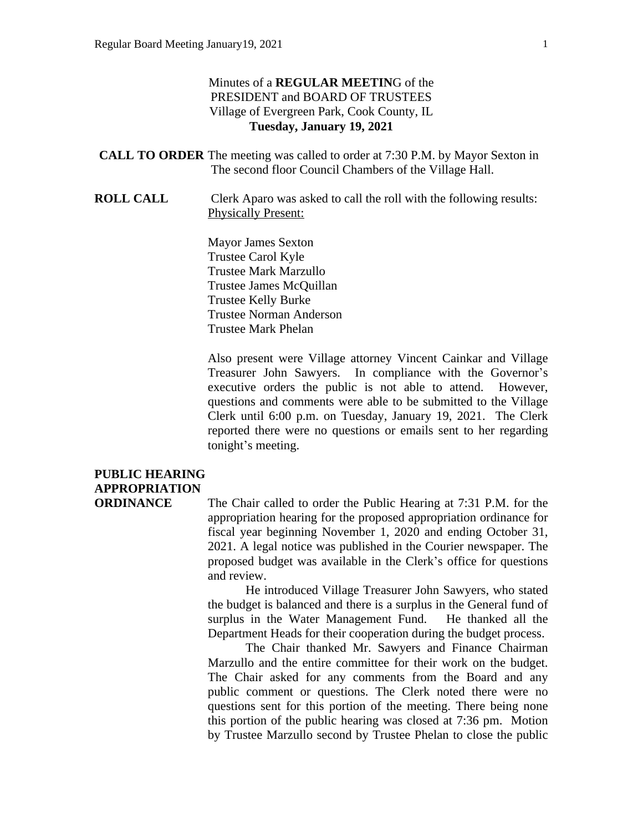#### Minutes of a **REGULAR MEETIN**G of the PRESIDENT and BOARD OF TRUSTEES Village of Evergreen Park, Cook County, IL **Tuesday, January 19, 2021**

- **CALL TO ORDER** The meeting was called to order at 7:30 P.M. by Mayor Sexton in The second floor Council Chambers of the Village Hall.
- **ROLL CALL** Clerk Aparo was asked to call the roll with the following results: Physically Present:

Mayor James Sexton Trustee Carol Kyle Trustee Mark Marzullo Trustee James McQuillan Trustee Kelly Burke Trustee Norman Anderson Trustee Mark Phelan

Also present were Village attorney Vincent Cainkar and Village Treasurer John Sawyers. In compliance with the Governor's executive orders the public is not able to attend. However, questions and comments were able to be submitted to the Village Clerk until 6:00 p.m. on Tuesday, January 19, 2021. The Clerk reported there were no questions or emails sent to her regarding tonight's meeting.

### **PUBLIC HEARING APPROPRIATION**

**ORDINANCE** The Chair called to order the Public Hearing at 7:31 P.M. for the appropriation hearing for the proposed appropriation ordinance for fiscal year beginning November 1, 2020 and ending October 31, 2021. A legal notice was published in the Courier newspaper. The proposed budget was available in the Clerk's office for questions and review.

> He introduced Village Treasurer John Sawyers, who stated the budget is balanced and there is a surplus in the General fund of surplus in the Water Management Fund. He thanked all the Department Heads for their cooperation during the budget process.

> The Chair thanked Mr. Sawyers and Finance Chairman Marzullo and the entire committee for their work on the budget. The Chair asked for any comments from the Board and any public comment or questions. The Clerk noted there were no questions sent for this portion of the meeting. There being none this portion of the public hearing was closed at 7:36 pm. Motion by Trustee Marzullo second by Trustee Phelan to close the public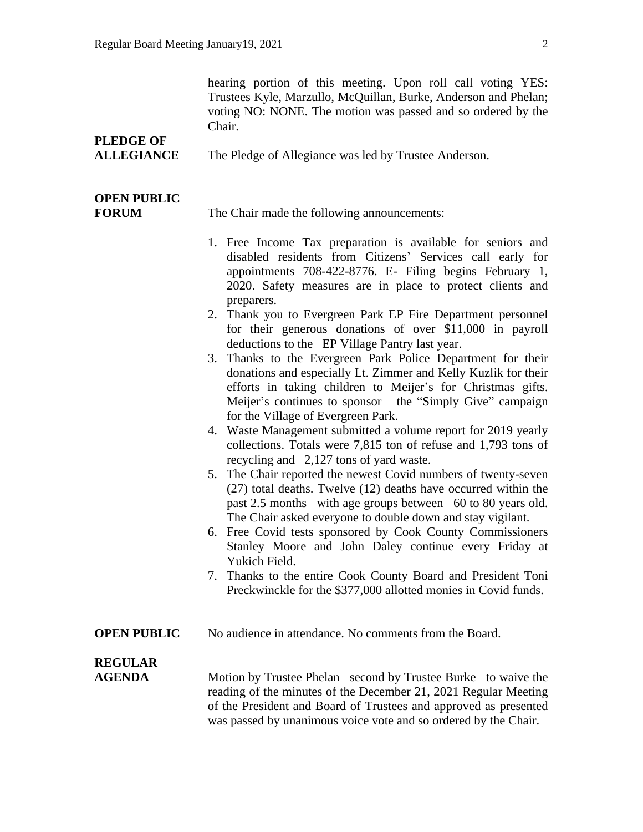hearing portion of this meeting. Upon roll call voting YES: Trustees Kyle, Marzullo, McQuillan, Burke, Anderson and Phelan; voting NO: NONE. The motion was passed and so ordered by the Chair.

# **PLEDGE OF**

**ALLEGIANCE** The Pledge of Allegiance was led by Trustee Anderson.

### **OPEN PUBLIC**

**FORUM** The Chair made the following announcements:

- 1. Free Income Tax preparation is available for seniors and disabled residents from Citizens' Services call early for appointments 708-422-8776. E- Filing begins February 1, 2020. Safety measures are in place to protect clients and preparers.
- 2. Thank you to Evergreen Park EP Fire Department personnel for their generous donations of over \$11,000 in payroll deductions to the EP Village Pantry last year.
- 3. Thanks to the Evergreen Park Police Department for their donations and especially Lt. Zimmer and Kelly Kuzlik for their efforts in taking children to Meijer's for Christmas gifts. Meijer's continues to sponsor the "Simply Give" campaign for the Village of Evergreen Park.
- 4. Waste Management submitted a volume report for 2019 yearly collections. Totals were 7,815 ton of refuse and 1,793 tons of recycling and 2,127 tons of yard waste.
- 5. The Chair reported the newest Covid numbers of twenty-seven (27) total deaths. Twelve (12) deaths have occurred within the past 2.5 months with age groups between 60 to 80 years old. The Chair asked everyone to double down and stay vigilant.
- 6. Free Covid tests sponsored by Cook County Commissioners Stanley Moore and John Daley continue every Friday at Yukich Field.
- 7. Thanks to the entire Cook County Board and President Toni Preckwinckle for the \$377,000 allotted monies in Covid funds.
- **OPEN PUBLIC** No audience in attendance. No comments from the Board.

# **REGULAR**

**AGENDA** Motion by Trustee Phelan second by Trustee Burke to waive the reading of the minutes of the December 21, 2021 Regular Meeting of the President and Board of Trustees and approved as presented was passed by unanimous voice vote and so ordered by the Chair.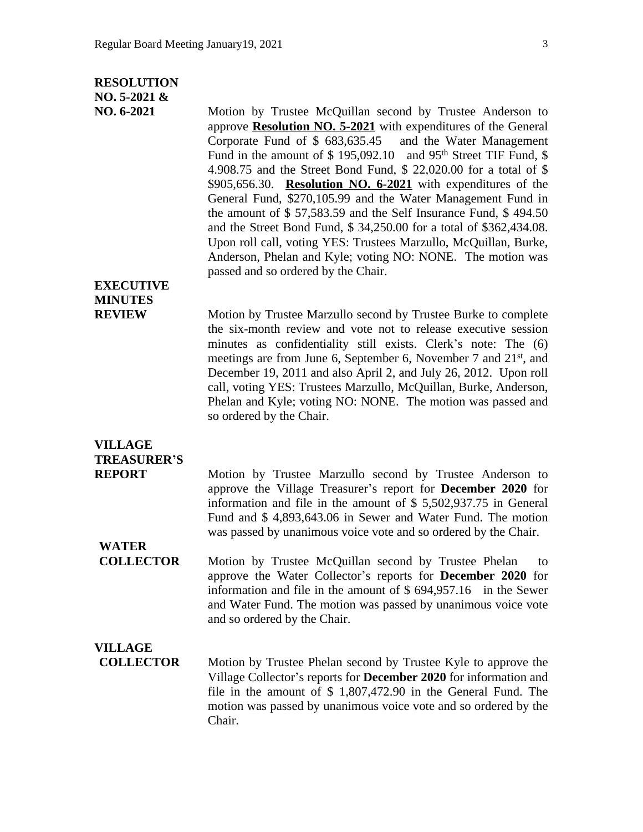#### **RESOLUTION**

#### **NO. 5-2021 &**

**NO. 6-2021** Motion by Trustee McQuillan second by Trustee Anderson to approve **Resolution NO. 5-2021** with expenditures of the General Corporate Fund of \$ 683,635.45 and the Water Management Fund in the amount of \$ 195,092.10 and 95<sup>th</sup> Street TIF Fund, \$ 4.908.75 and the Street Bond Fund, \$ 22,020.00 for a total of \$ \$905,656.30. **Resolution NO. 6-2021** with expenditures of the General Fund, \$270,105.99 and the Water Management Fund in the amount of \$ 57,583.59 and the Self Insurance Fund, \$ 494.50 and the Street Bond Fund, \$ 34,250.00 for a total of \$362,434.08. Upon roll call, voting YES: Trustees Marzullo, McQuillan, Burke, Anderson, Phelan and Kyle; voting NO: NONE. The motion was passed and so ordered by the Chair.

#### **EXECUTIVE MINUTES**

**REVIEW** Motion by Trustee Marzullo second by Trustee Burke to complete the six-month review and vote not to release executive session minutes as confidentiality still exists. Clerk's note: The (6) meetings are from June 6, September 6, November 7 and 21<sup>st</sup>, and December 19, 2011 and also April 2, and July 26, 2012. Upon roll call, voting YES: Trustees Marzullo, McQuillan, Burke, Anderson, Phelan and Kyle; voting NO: NONE. The motion was passed and so ordered by the Chair.

# **VILLAGE TREASURER'S**

**REPORT** Motion by Trustee Marzullo second by Trustee Anderson to approve the Village Treasurer's report for **December 2020** for information and file in the amount of \$ 5,502,937.75 in General Fund and \$ 4,893,643.06 in Sewer and Water Fund. The motion was passed by unanimous voice vote and so ordered by the Chair.

**WATER**

**COLLECTOR** Motion by Trustee McQuillan second by Trustee Phelan to approve the Water Collector's reports for **December 2020** for information and file in the amount of \$ 694,957.16 in the Sewer and Water Fund. The motion was passed by unanimous voice vote and so ordered by the Chair.

# **VILLAGE**

**COLLECTOR** Motion by Trustee Phelan second by Trustee Kyle to approve the Village Collector's reports for **December 2020** for information and file in the amount of \$ 1,807,472.90 in the General Fund. The motion was passed by unanimous voice vote and so ordered by the Chair.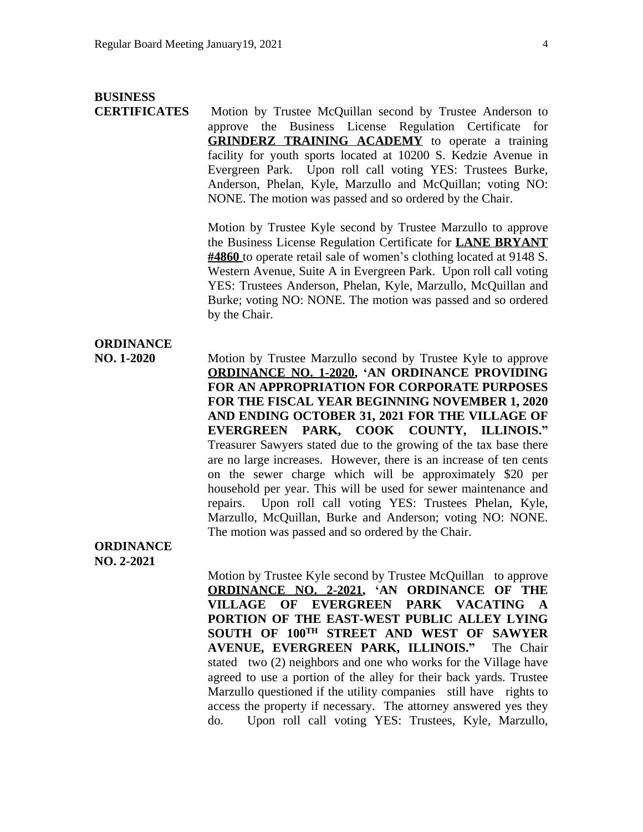#### **BUSINESS**

**CERTIFICATES** Motion by Trustee McQuillan second by Trustee Anderson to approve the Business License Regulation Certificate for **GRINDERZ TRAINING ACADEMY** to operate a training facility for youth sports located at 10200 S. Kedzie Avenue in Evergreen Park. Upon roll call voting YES: Trustees Burke, Anderson, Phelan, Kyle, Marzullo and McQuillan; voting NO: NONE. The motion was passed and so ordered by the Chair.

> Motion by Trustee Kyle second by Trustee Marzullo to approve the Business License Regulation Certificate for **LANE BRYANT #4860** to operate retail sale of women's clothing located at 9148 S. Western Avenue, Suite A in Evergreen Park. Upon roll call voting YES: Trustees Anderson, Phelan, Kyle, Marzullo, McQuillan and Burke; voting NO: NONE. The motion was passed and so ordered by the Chair.

#### **ORDINANCE**

**NO. 1-2020** Motion by Trustee Marzullo second by Trustee Kyle to approve **ORDINANCE NO. 1-2020, 'AN ORDINANCE PROVIDING FOR AN APPROPRIATION FOR CORPORATE PURPOSES FOR THE FISCAL YEAR BEGINNING NOVEMBER 1, 2020 AND ENDING OCTOBER 31, 2021 FOR THE VILLAGE OF EVERGREEN PARK, COOK COUNTY, ILLINOIS."** Treasurer Sawyers stated due to the growing of the tax base there are no large increases. However, there is an increase of ten cents on the sewer charge which will be approximately \$20 per household per year. This will be used for sewer maintenance and repairs. Upon roll call voting YES: Trustees Phelan, Kyle, Marzullo, McQuillan, Burke and Anderson; voting NO: NONE. The motion was passed and so ordered by the Chair.

**ORDINANCE NO. 2-2021**

> Motion by Trustee Kyle second by Trustee McQuillan to approve **ORDINANCE NO. 2-2021, 'AN ORDINANCE OF THE VILLAGE OF EVERGREEN PARK VACATING A PORTION OF THE EAST-WEST PUBLIC ALLEY LYING SOUTH OF 100TH STREET AND WEST OF SAWYER AVENUE, EVERGREEN PARK, ILLINOIS."** The Chair stated two (2) neighbors and one who works for the Village have agreed to use a portion of the alley for their back yards. Trustee Marzullo questioned if the utility companies still have rights to access the property if necessary. The attorney answered yes they do. Upon roll call voting YES: Trustees, Kyle, Marzullo,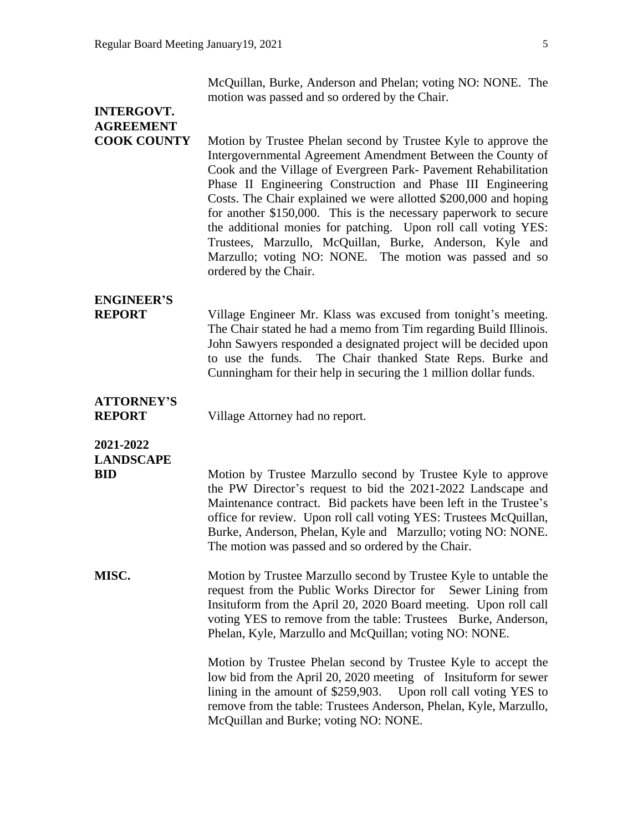McQuillan, Burke, Anderson and Phelan; voting NO: NONE. The motion was passed and so ordered by the Chair.

### **INTERGOVT. AGREEMENT**

**COOK COUNTY** Motion by Trustee Phelan second by Trustee Kyle to approve the Intergovernmental Agreement Amendment Between the County of Cook and the Village of Evergreen Park- Pavement Rehabilitation Phase II Engineering Construction and Phase III Engineering Costs. The Chair explained we were allotted \$200,000 and hoping for another \$150,000. This is the necessary paperwork to secure the additional monies for patching. Upon roll call voting YES: Trustees, Marzullo, McQuillan, Burke, Anderson, Kyle and Marzullo; voting NO: NONE. The motion was passed and so ordered by the Chair.

# **ENGINEER'S**

**REPORT** Village Engineer Mr. Klass was excused from tonight's meeting. The Chair stated he had a memo from Tim regarding Build Illinois. John Sawyers responded a designated project will be decided upon to use the funds. The Chair thanked State Reps. Burke and Cunningham for their help in securing the 1 million dollar funds.

# **ATTORNEY'S**

**REPORT** Village Attorney had no report.

### **2021-2022 LANDSCAPE**

**BID** Motion by Trustee Marzullo second by Trustee Kyle to approve the PW Director's request to bid the 2021-2022 Landscape and Maintenance contract. Bid packets have been left in the Trustee's office for review. Upon roll call voting YES: Trustees McQuillan, Burke, Anderson, Phelan, Kyle and Marzullo; voting NO: NONE. The motion was passed and so ordered by the Chair.

**MISC.** Motion by Trustee Marzullo second by Trustee Kyle to untable the request from the Public Works Director for Sewer Lining from Insituform from the April 20, 2020 Board meeting. Upon roll call voting YES to remove from the table: Trustees Burke, Anderson, Phelan, Kyle, Marzullo and McQuillan; voting NO: NONE.

> Motion by Trustee Phelan second by Trustee Kyle to accept the low bid from the April 20, 2020 meeting of Insituform for sewer lining in the amount of \$259,903. Upon roll call voting YES to remove from the table: Trustees Anderson, Phelan, Kyle, Marzullo, McQuillan and Burke; voting NO: NONE.